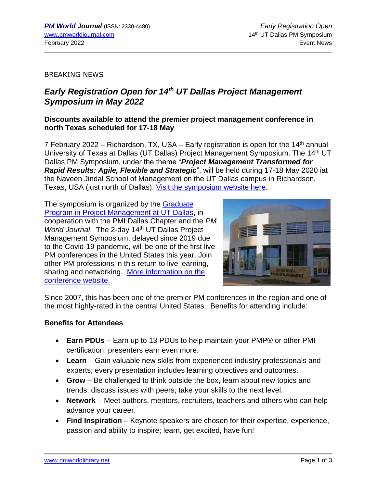### BREAKING NEWS

# *Early Registration Open for 14 th UT Dallas Project Management Symposium in May 2022*

# **Discounts available to attend the premier project management conference in north Texas scheduled for 17-18 May**

7 February 2022 – Richardson, TX, USA – Early registration is open for the 14<sup>th</sup> annual University of Texas at Dallas (UT Dallas) Project Management Symposium. The 14<sup>th</sup> UT Dallas PM Symposium, under the theme "*Project Management Transformed for Rapid Results: Agile, Flexible and Strategic*", will be held during 17-18 May 2020 iat the Naveen Jindal School of Management on the UT Dallas campus in Richardson, Texas, USA (just north of Dallas). [Visit the symposium website here.](https://jindal.utdallas.edu/events/project-management-symposium/)

The symposium is organized by the [Graduate](http://jindal.utdallas.edu/executive-education/project-management/)  [Program in Project Management at UT Dallas,](http://jindal.utdallas.edu/executive-education/project-management/) in cooperation with the PMI Dallas Chapter and the *PM World Journal.* The 2-day 14<sup>th</sup> UT Dallas Project Management Symposium, delayed since 2019 due to the Covid-19 pandemic, will be one of the first live PM conferences in the United States this year. Join other PM professions in this return to live learning, sharing and networking. [More information](https://jindal.utdallas.edu/events/project-management-symposium/) on the [conference website.](https://jindal.utdallas.edu/events/project-management-symposium/)



Since 2007, this has been one of the premier PM conferences in the region and one of the most highly-rated in the central United States. Benefits for attending include:

### **Benefits for Attendees**

- **Earn PDUs** Earn up to 13 PDUs to help maintain your PMP® or other PMI certification; presenters earn even more.
- **Learn** Gain valuable new skills from experienced industry professionals and experts; every presentation includes learning objectives and outcomes.
- **Grow** Be challenged to think outside the box, learn about new topics and trends, discuss issues with peers, take your skills to the next level.
- **Network** Meet authors, mentors, recruiters, teachers and others who can help advance your career.
- **Find Inspiration** Keynote speakers are chosen for their expertise, experience, passion and ability to inspire; learn, get excited, have fun!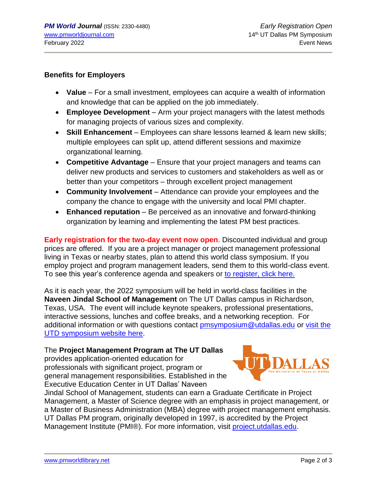## **Benefits for Employers**

- **Value** For a small investment, employees can acquire a wealth of information and knowledge that can be applied on the job immediately.
- **Employee Development** Arm your project managers with the latest methods for managing projects of various sizes and complexity.
- **Skill Enhancement** Employees can share lessons learned & learn new skills; multiple employees can split up, attend different sessions and maximize organizational learning.
- **Competitive Advantage** Ensure that your project managers and teams can deliver new products and services to customers and stakeholders as well as or better than your competitors – through excellent project management
- **Community Involvement** Attendance can provide your employees and the company the chance to engage with the university and local PMI chapter.
- **Enhanced reputation** Be perceived as an innovative and forward-thinking organization by learning and implementing the latest PM best practices.

**Early registration for the two-day event now open**. Discounted individual and group prices are offered. If you are a project manager or project management professional living in Texas or nearby states, plan to attend this world class symposium. If you employ project and program management leaders, send them to this world-class event. To see this year's conference agenda and speakers or [to register, click here.](https://jindal.utdallas.edu/events/project-management-symposium/)

As it is each year, the 2022 symposium will be held in world-class facilities in the **Naveen Jindal School of Management** on The UT Dallas campus in Richardson, Texas, USA. The event will include keynote speakers, professional presentations, interactive sessions, lunches and coffee breaks, and a networking reception. For additional information or with questions contact [pmsymposium@utdallas.edu](mailto:pmsymposium@utdallas.edu) or [visit the](https://jindal.utdallas.edu/events/project-management-symposium/)  [UTD symposium website here.](https://jindal.utdallas.edu/events/project-management-symposium/)

# The **Project Management Program at The UT Dallas**

provides application-oriented education for professionals with significant project, program or general management responsibilities. Established in the Executive Education Center in UT Dallas' Naveen



Jindal School of Management, students can earn a Graduate Certificate in Project Management, a Master of Science degree with an emphasis in project management, or a Master of Business Administration (MBA) degree with project management emphasis. UT Dallas PM program, originally developed in 1997, is accredited by the Project Management Institute (PMI®). For more information, visit [project.utdallas.edu.](http://project.utdallas.edu/)